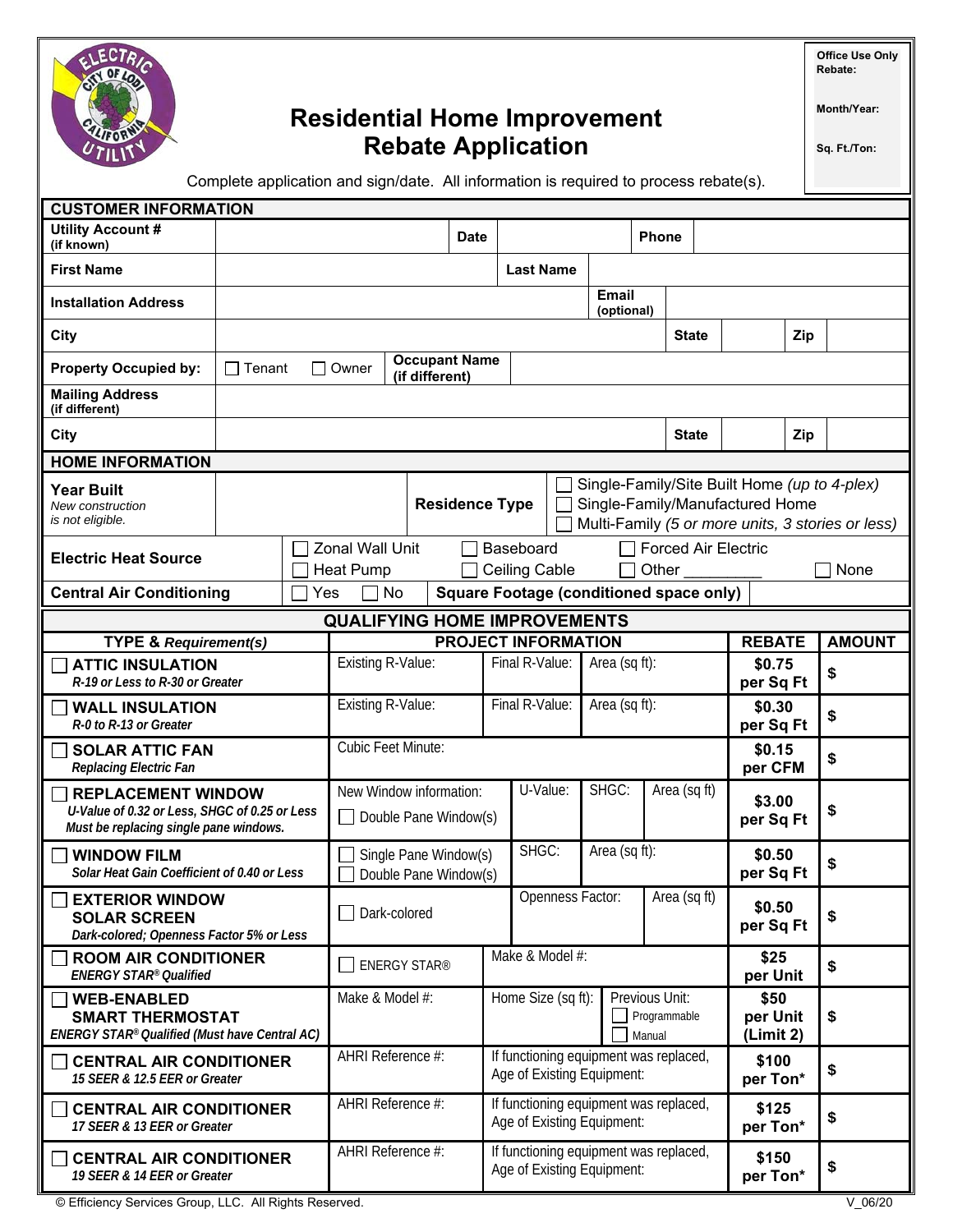

# **Residential Home Improvement Rebate Application**

**Office Use Only Rebate:** 

**Month/Year:** 

**Sq. Ft./Ton:** 

Complete application and sign/date. All information is required to process rebate(s).

| <b>CUSTOMER INFORMATION</b>                                                                                          |                                                                                                                                                               |                                                  |                                            |                   |                            |                            |                                                                      |                                                                      |                                     |                                                |     |                     |                     |    |               |  |
|----------------------------------------------------------------------------------------------------------------------|---------------------------------------------------------------------------------------------------------------------------------------------------------------|--------------------------------------------------|--------------------------------------------|-------------------|----------------------------|----------------------------|----------------------------------------------------------------------|----------------------------------------------------------------------|-------------------------------------|------------------------------------------------|-----|---------------------|---------------------|----|---------------|--|
| <b>Utility Account #</b><br>(if known)                                                                               |                                                                                                                                                               |                                                  |                                            |                   | <b>Date</b>                |                            |                                                                      |                                                                      | <b>Phone</b>                        |                                                |     |                     |                     |    |               |  |
| <b>First Name</b>                                                                                                    |                                                                                                                                                               |                                                  |                                            |                   |                            |                            | <b>Last Name</b>                                                     |                                                                      |                                     |                                                |     |                     |                     |    |               |  |
| <b>Installation Address</b>                                                                                          |                                                                                                                                                               |                                                  |                                            |                   |                            |                            |                                                                      | Email<br>(optional)                                                  |                                     |                                                |     |                     |                     |    |               |  |
| <b>City</b>                                                                                                          |                                                                                                                                                               |                                                  |                                            |                   |                            |                            |                                                                      | <b>State</b>                                                         |                                     |                                                | Zip |                     |                     |    |               |  |
| <b>Property Occupied by:</b>                                                                                         | <b>Occupant Name</b><br>$\Box$ Tenant<br>Owner<br>$\overline{\phantom{a}}$<br>(if different)                                                                  |                                                  |                                            |                   |                            |                            |                                                                      |                                                                      |                                     |                                                |     |                     |                     |    |               |  |
| <b>Mailing Address</b><br>(if different)                                                                             |                                                                                                                                                               |                                                  |                                            |                   |                            |                            |                                                                      |                                                                      |                                     |                                                |     |                     |                     |    |               |  |
| City                                                                                                                 | <b>State</b>                                                                                                                                                  |                                                  |                                            |                   |                            |                            |                                                                      |                                                                      |                                     | Zip                                            |     |                     |                     |    |               |  |
| <b>HOME INFORMATION</b>                                                                                              |                                                                                                                                                               |                                                  |                                            |                   |                            |                            |                                                                      |                                                                      |                                     |                                                |     |                     |                     |    |               |  |
| <b>Year Built</b><br>New construction<br>is not eligible.                                                            | Single-Family/Site Built Home (up to 4-plex)<br><b>Residence Type</b><br>Single-Family/Manufactured Home<br>Multi-Family (5 or more units, 3 stories or less) |                                                  |                                            |                   |                            |                            |                                                                      |                                                                      |                                     |                                                |     |                     |                     |    |               |  |
| <b>Electric Heat Source</b>                                                                                          |                                                                                                                                                               |                                                  | <b>Zonal Wall Unit</b><br><b>Heat Pump</b> |                   |                            | Baseboard<br>Ceiling Cable |                                                                      |                                                                      | <b>Forced Air Electric</b><br>Other |                                                |     |                     |                     |    | None          |  |
| <b>Central Air Conditioning</b><br>Yes                                                                               |                                                                                                                                                               |                                                  | No                                         |                   |                            |                            |                                                                      |                                                                      |                                     | <b>Square Footage (conditioned space only)</b> |     |                     |                     |    |               |  |
| <b>QUALIFYING HOME IMPROVEMENTS</b>                                                                                  |                                                                                                                                                               |                                                  |                                            |                   |                            |                            |                                                                      |                                                                      |                                     |                                                |     |                     |                     |    |               |  |
| <b>TYPE &amp; Requirement(s)</b>                                                                                     |                                                                                                                                                               |                                                  |                                            |                   | <b>PROJECT INFORMATION</b> |                            |                                                                      |                                                                      |                                     |                                                |     |                     | <b>REBATE</b>       |    | <b>AMOUNT</b> |  |
| <b>ATTIC INSULATION</b><br>R-19 or Less to R-30 or Greater                                                           |                                                                                                                                                               |                                                  | Existing R-Value:                          |                   |                            | Final R-Value:             |                                                                      |                                                                      | Area (sq ft):                       |                                                |     |                     | \$0.75<br>per Sq Ft |    | \$            |  |
| <b>WALL INSULATION</b><br>R-0 to R-13 or Greater                                                                     |                                                                                                                                                               |                                                  | Existing R-Value:                          |                   |                            | Final R-Value:             |                                                                      |                                                                      | Area (sq ft):                       |                                                |     |                     | \$0.30<br>per Sq Ft |    | \$            |  |
| <b>SOLAR ATTIC FAN</b><br>Replacing Electric Fan                                                                     |                                                                                                                                                               |                                                  | <b>Cubic Feet Minute:</b>                  |                   |                            |                            |                                                                      |                                                                      |                                     | \$0.15<br>per CFM                              |     | \$                  |                     |    |               |  |
| <b>REPLACEMENT WINDOW</b><br>U-Value of 0.32 or Less, SHGC of 0.25 or Less<br>Must be replacing single pane windows. |                                                                                                                                                               | New Window information:<br>Double Pane Window(s) |                                            |                   |                            | U-Value:                   |                                                                      | SHGC:                                                                |                                     | Area (sq ft)                                   |     | \$3.00<br>per Sq Ft |                     | \$ |               |  |
| <b>WINDOW FILM</b><br>Solar Heat Gain Coefficient of 0.40 or Less                                                    |                                                                                                                                                               | Single Pane Window(s)<br>Double Pane Window(s)   |                                            |                   | SHGC:                      |                            |                                                                      | Area (sq ft):                                                        |                                     |                                                |     | \$0.50<br>per Sq Ft |                     | \$ |               |  |
| <b>EXTERIOR WINDOW</b><br><b>SOLAR SCREEN</b><br>Dark-colored; Openness Factor 5% or Less                            |                                                                                                                                                               |                                                  | □ Dark-colored                             |                   |                            | Openness Factor:           |                                                                      |                                                                      |                                     | Area (sq ft)                                   |     |                     | \$0.50<br>per Sq Ft |    | \$            |  |
| <b>ROOM AIR CONDITIONER</b><br><b>ENERGY STAR® Qualified</b>                                                         |                                                                                                                                                               |                                                  | <b>ENERGY STAR®</b>                        |                   |                            | Make & Model #:            |                                                                      |                                                                      |                                     |                                                |     |                     | \$25<br>per Unit    |    | \$            |  |
| <b>WEB-ENABLED</b><br><b>SMART THERMOSTAT</b><br>ENERGY STAR® Qualified (Must have Central AC)                       |                                                                                                                                                               |                                                  | Make & Model #:                            |                   | Home Size (sq ft):         |                            | Previous Unit:<br>Programmable<br>Manual                             |                                                                      |                                     | \$50<br>per Unit<br>(Limit 2)                  |     | \$                  |                     |    |               |  |
| <b>CENTRAL AIR CONDITIONER</b><br>15 SEER & 12.5 EER or Greater                                                      |                                                                                                                                                               |                                                  |                                            | AHRI Reference #: |                            |                            | If functioning equipment was replaced,<br>Age of Existing Equipment: |                                                                      |                                     |                                                |     | \$100<br>per Ton*   |                     | \$ |               |  |
| <b>CENTRAL AIR CONDITIONER</b><br>17 SEER & 13 EER or Greater                                                        |                                                                                                                                                               |                                                  | AHRI Reference #:                          |                   |                            |                            | If functioning equipment was replaced,<br>Age of Existing Equipment: |                                                                      |                                     |                                                |     |                     | \$125<br>per Ton*   |    | \$            |  |
| <b>CENTRAL AIR CONDITIONER</b><br>19 SEER & 14 EER or Greater                                                        |                                                                                                                                                               |                                                  | AHRI Reference #:                          |                   |                            |                            |                                                                      | If functioning equipment was replaced,<br>Age of Existing Equipment: |                                     |                                                |     |                     | \$150<br>per Ton*   |    | \$            |  |

© Efficiency Services Group, LLC. All Rights Reserved. V\_06/20